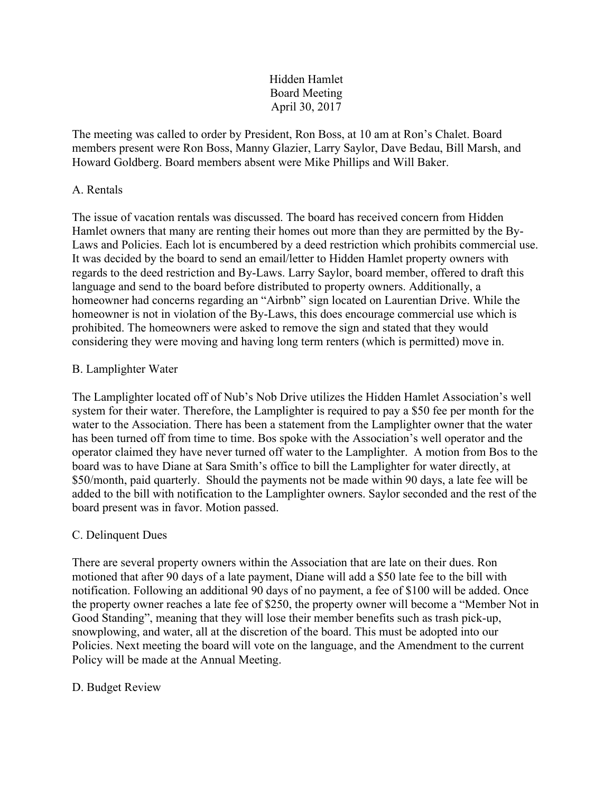# Hidden Hamlet Board Meeting April 30, 2017

The meeting was called to order by President, Ron Boss, at 10 am at Ron's Chalet. Board members present were Ron Boss, Manny Glazier, Larry Saylor, Dave Bedau, Bill Marsh, and Howard Goldberg. Board members absent were Mike Phillips and Will Baker.

# A. Rentals

The issue of vacation rentals was discussed. The board has received concern from Hidden Hamlet owners that many are renting their homes out more than they are permitted by the By-Laws and Policies. Each lot is encumbered by a deed restriction which prohibits commercial use. It was decided by the board to send an email/letter to Hidden Hamlet property owners with regards to the deed restriction and By-Laws. Larry Saylor, board member, offered to draft this language and send to the board before distributed to property owners. Additionally, a homeowner had concerns regarding an "Airbnb" sign located on Laurentian Drive. While the homeowner is not in violation of the By-Laws, this does encourage commercial use which is prohibited. The homeowners were asked to remove the sign and stated that they would considering they were moving and having long term renters (which is permitted) move in.

# B. Lamplighter Water

The Lamplighter located off of Nub's Nob Drive utilizes the Hidden Hamlet Association's well system for their water. Therefore, the Lamplighter is required to pay a \$50 fee per month for the water to the Association. There has been a statement from the Lamplighter owner that the water has been turned off from time to time. Bos spoke with the Association's well operator and the operator claimed they have never turned off water to the Lamplighter. A motion from Bos to the board was to have Diane at Sara Smith's office to bill the Lamplighter for water directly, at \$50/month, paid quarterly. Should the payments not be made within 90 days, a late fee will be added to the bill with notification to the Lamplighter owners. Saylor seconded and the rest of the board present was in favor. Motion passed.

#### C. Delinquent Dues

There are several property owners within the Association that are late on their dues. Ron motioned that after 90 days of a late payment, Diane will add a \$50 late fee to the bill with notification. Following an additional 90 days of no payment, a fee of \$100 will be added. Once the property owner reaches a late fee of \$250, the property owner will become a "Member Not in Good Standing", meaning that they will lose their member benefits such as trash pick-up, snowplowing, and water, all at the discretion of the board. This must be adopted into our Policies. Next meeting the board will vote on the language, and the Amendment to the current Policy will be made at the Annual Meeting.

#### D. Budget Review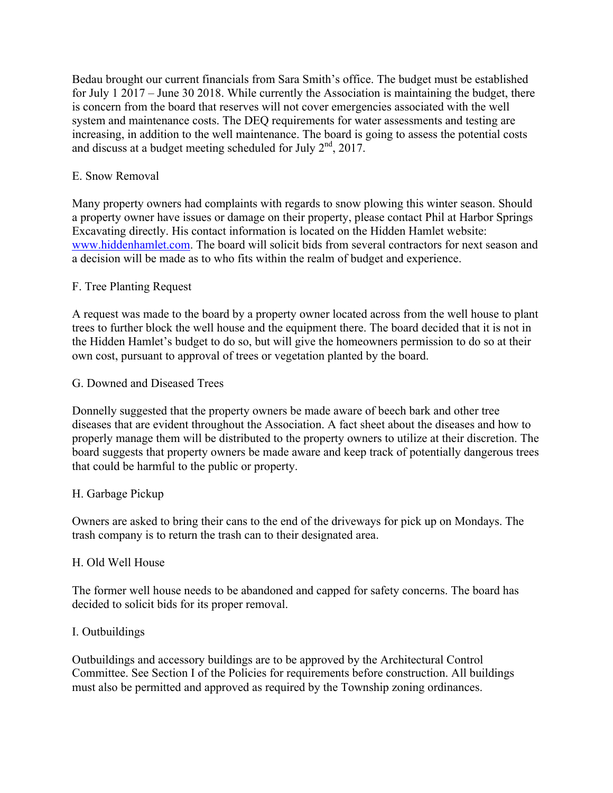Bedau brought our current financials from Sara Smith's office. The budget must be established for July 1 2017 – June 30 2018. While currently the Association is maintaining the budget, there is concern from the board that reserves will not cover emergencies associated with the well system and maintenance costs. The DEQ requirements for water assessments and testing are increasing, in addition to the well maintenance. The board is going to assess the potential costs and discuss at a budget meeting scheduled for July  $2<sup>nd</sup>$ , 2017.

# E. Snow Removal

Many property owners had complaints with regards to snow plowing this winter season. Should a property owner have issues or damage on their property, please contact Phil at Harbor Springs Excavating directly. His contact information is located on the Hidden Hamlet website: www.hiddenhamlet.com. The board will solicit bids from several contractors for next season and a decision will be made as to who fits within the realm of budget and experience.

# F. Tree Planting Request

A request was made to the board by a property owner located across from the well house to plant trees to further block the well house and the equipment there. The board decided that it is not in the Hidden Hamlet's budget to do so, but will give the homeowners permission to do so at their own cost, pursuant to approval of trees or vegetation planted by the board.

#### G. Downed and Diseased Trees

Donnelly suggested that the property owners be made aware of beech bark and other tree diseases that are evident throughout the Association. A fact sheet about the diseases and how to properly manage them will be distributed to the property owners to utilize at their discretion. The board suggests that property owners be made aware and keep track of potentially dangerous trees that could be harmful to the public or property.

#### H. Garbage Pickup

Owners are asked to bring their cans to the end of the driveways for pick up on Mondays. The trash company is to return the trash can to their designated area.

#### H. Old Well House

The former well house needs to be abandoned and capped for safety concerns. The board has decided to solicit bids for its proper removal.

#### I. Outbuildings

Outbuildings and accessory buildings are to be approved by the Architectural Control Committee. See Section I of the Policies for requirements before construction. All buildings must also be permitted and approved as required by the Township zoning ordinances.